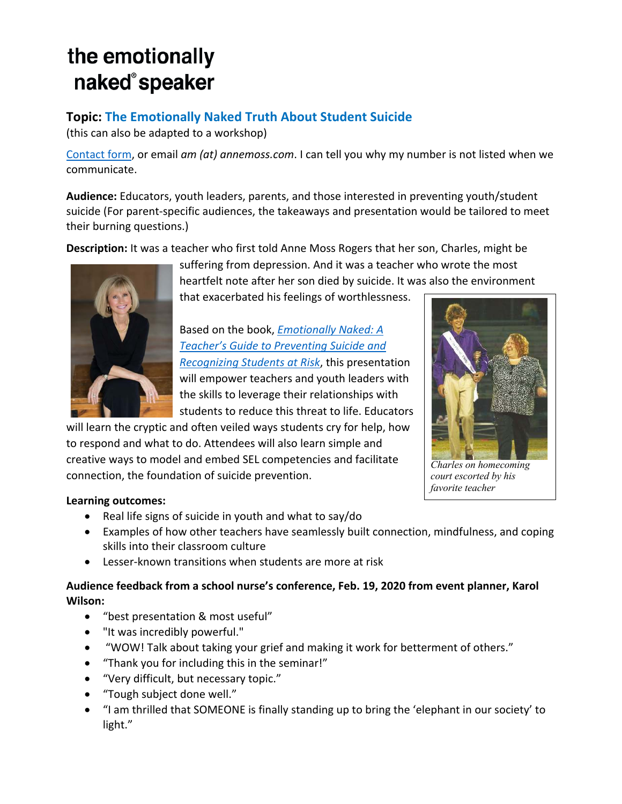# the emotionally naked®speaker

## **Topic: The Emotionally Naked Truth About Student Suicide**

(this can also be adapted to a workshop)

Contact form, or email *am (at) annemoss.com*. I can tell you why my number is not listed when we communicate.

**Audience:** Educators, youth leaders, parents, and those interested in preventing youth/student suicide (For parent-specific audiences, the takeaways and presentation would be tailored to meet their burning questions.)

**Description:** It was a teacher who first told Anne Moss Rogers that her son, Charles, might be



suffering from depression. And it was a teacher who wrote the most heartfelt note after her son died by suicide. It was also the environment that exacerbated his feelings of worthlessness.

Based on the book, *Emotionally Naked: A Teacher's Guide to Preventing Suicide and Recognizing Students at Risk*, this presentation will empower teachers and youth leaders with the skills to leverage their relationships with students to reduce this threat to life. Educators

will learn the cryptic and often veiled ways students cry for help, how to respond and what to do. Attendees will also learn simple and creative ways to model and embed SEL competencies and facilitate connection, the foundation of suicide prevention.



*Charles on homecoming court escorted by his favorite teacher*

## **Learning outcomes:**

- Real life signs of suicide in youth and what to say/do
- Examples of how other teachers have seamlessly built connection, mindfulness, and coping skills into their classroom culture
- Lesser-known transitions when students are more at risk

## **Audience feedback from a school nurse's conference, Feb. 19, 2020 from event planner, Karol Wilson:**

- "best presentation & most useful"
- "It was incredibly powerful."
- "WOW! Talk about taking your grief and making it work for betterment of others."
- "Thank you for including this in the seminar!"
- "Very difficult, but necessary topic."
- "Tough subject done well."
- "I am thrilled that SOMEONE is finally standing up to bring the 'elephant in our society' to light."